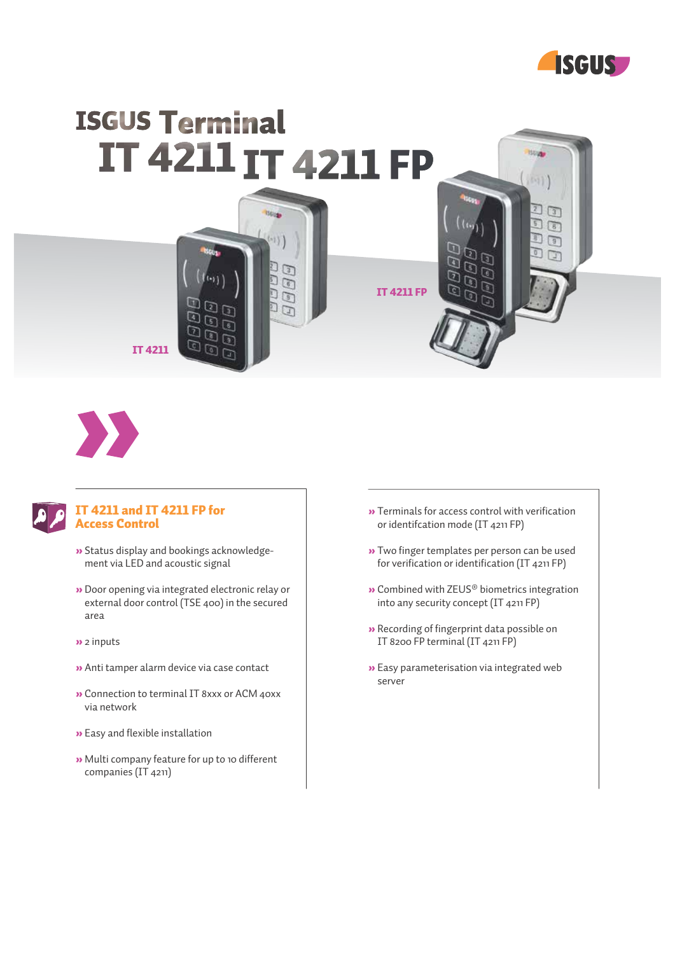

**Strugg** 

 $191$ 

 $\sqrt{3}$  $\sqrt{3}$  $\overline{B}$  $\Box$ n



団

 $\overline{G}$  $\mathbb{Z}$ הם

 $\overline{\mathbb{Q}}$ 

 $\Box$ 

 $\scriptstyle\odot$ 

IT 4211 FP

IT 4211



#### IT 4211 and IT 4211 FP for Access Control

- » Status display and bookings acknowledgement via LED and acoustic signal
- » Door opening via integrated electronic relay or external door control (TSE 400) in the secured area
- » 2 inputs
- » Anti tamper alarm device via case contact
- » Connection to terminal IT 8xxx or ACM 40xx via network
- » Easy and flexible installation
- » Multi company feature for up to 10 different companies (IT 4211)

» Terminals for access control with verification or identifcation mode (IT 4211 FP)

 $\overline{\epsilon}$ 

- » Two finger templates per person can be used for verification or identification (IT 4211 FP)
- » Combined with ZEUS® biometrics integration into any security concept (IT 4211 FP)
- » Recording of fingerprint data possible on IT 8200 FP terminal (IT 4211 FP)
- » Easy parameterisation via integrated web server